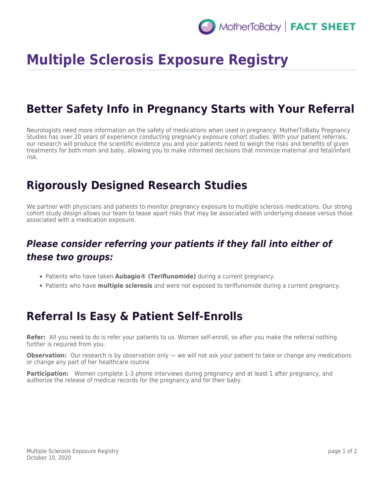# **Multiple Sclerosis Exposure Registry**

## **Better Safety Info in Pregnancy Starts with Your Referral**

Neurologists need more information on the safety of medications when used in pregnancy. MotherToBaby Pregnancy Studies has over 20 years of experience conducting pregnancy exposure cohort studies. With your patient referrals, our research will produce the scientific evidence you and your patients need to weigh the risks and benefits of given treatments for both mom and baby, allowing you to make informed decisions that minimize maternal and fetal/infant risk.

#### **Rigorously Designed Research Studies**

We partner with physicians and patients to monitor pregnancy exposure to multiple sclerosis medications. Our strong cohort study design allows our team to tease apart risks that may be associated with underlying disease versus those associated with a medication exposure.

#### *Please consider referring your patients if they fall into either of these two groups:*

- Patients who have taken **Aubagio® (Teriflunomide)** during a current pregnancy.
- Patients who have **multiple sclerosis** and were not exposed to teriflunomide during a current pregnancy.

## **Referral Is Easy & Patient Self-Enrolls**

**Refer:** All you need to do is refer your patients to us. Women self-enroll, so after you make the referral nothing further is required from you.

**Observation:** Our research is by observation only — we will not ask your patient to take or change any medications or change any part of her healthcare routine

**Participation:** Women complete 1-3 phone interviews during pregnancy and at least 1 after pregnancy, and authorize the release of medical records for the pregnancy and for their baby.